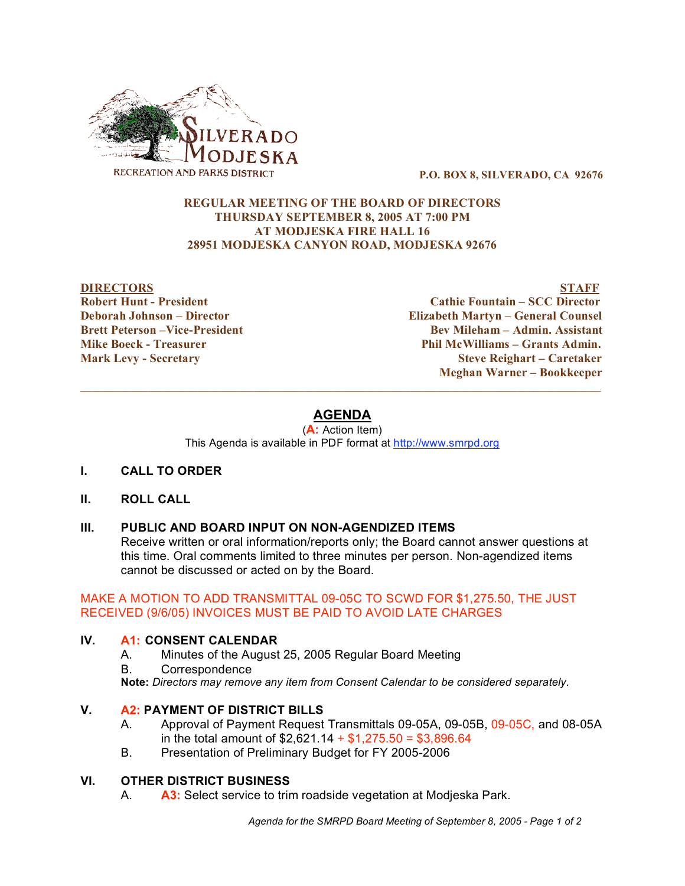

**P.O. BOX 8, SILVERADO, CA 92676**

## **REGULAR MEETING OF THE BOARD OF DIRECTORS THURSDAY SEPTEMBER 8, 2005 AT 7:00 PM AT MODJESKA FIRE HALL 16 28951 MODJESKA CANYON ROAD, MODJESKA 92676**

**DIRECTORS STAFF Robert Hunt - President Cathie Fountain – SCC Director Deborah Johnson – Director Elizabeth Martyn – General Counsel Brett Peterson –Vice-President Bev Mileham – Admin. Assistant Mike Boeck - Treasurer Phil McWilliams – Grants Admin. Mark Levy - Secretary Steve Reighart – Caretaker Meghan Warner – Bookkeeper**

# **AGENDA**

 $\mathcal{L}_\mathcal{L} = \{ \mathcal{L}_\mathcal{L} = \{ \mathcal{L}_\mathcal{L} = \{ \mathcal{L}_\mathcal{L} = \{ \mathcal{L}_\mathcal{L} = \{ \mathcal{L}_\mathcal{L} = \{ \mathcal{L}_\mathcal{L} = \{ \mathcal{L}_\mathcal{L} = \{ \mathcal{L}_\mathcal{L} = \{ \mathcal{L}_\mathcal{L} = \{ \mathcal{L}_\mathcal{L} = \{ \mathcal{L}_\mathcal{L} = \{ \mathcal{L}_\mathcal{L} = \{ \mathcal{L}_\mathcal{L} = \{ \mathcal{L}_\mathcal{$ 

(**A:** Action Item) This Agenda is available in PDF format at http://www.smrpd.org

## **I. CALL TO ORDER**

## **II. ROLL CALL**

## **III. PUBLIC AND BOARD INPUT ON NON-AGENDIZED ITEMS**

Receive written or oral information/reports only; the Board cannot answer questions at this time. Oral comments limited to three minutes per person. Non-agendized items cannot be discussed or acted on by the Board.

## MAKE A MOTION TO ADD TRANSMITTAL 09-05C TO SCWD FOR \$1,275.50, THE JUST RECEIVED (9/6/05) INVOICES MUST BE PAID TO AVOID LATE CHARGES

## **IV. A1: CONSENT CALENDAR**

- A. Minutes of the August 25, 2005 Regular Board Meeting
- B. Correspondence

**Note:** *Directors may remove any item from Consent Calendar to be considered separately.*

## **V. A2: PAYMENT OF DISTRICT BILLS**

- A. Approval of Payment Request Transmittals 09-05A, 09-05B, 09-05C, and 08-05A in the total amount of  $$2,621.14 + $1,275.50 = $3,896.64$
- B. Presentation of Preliminary Budget for FY 2005-2006

## **VI. OTHER DISTRICT BUSINESS**

A. **A3:** Select service to trim roadside vegetation at Modjeska Park.